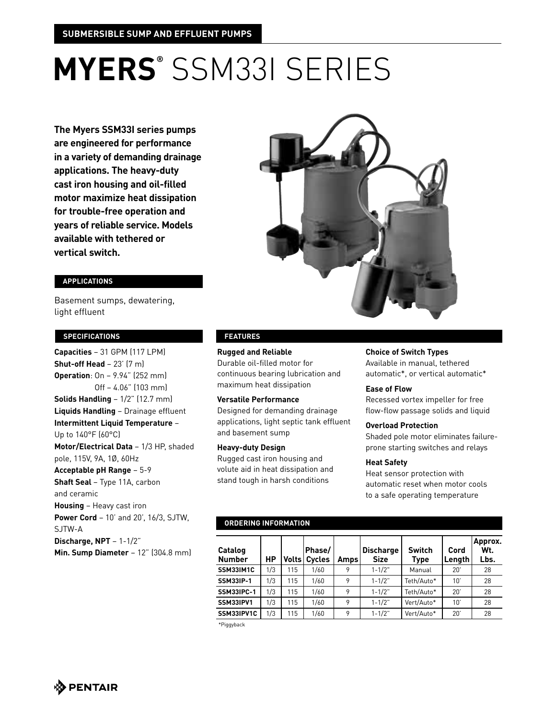# **MYERS®** SSM33I SERIES

**The Myers SSM33I series pumps are engineered for performance in a variety of demanding drainage applications. The heavy-duty cast iron housing and oil-filled motor maximize heat dissipation for trouble-free operation and years of reliable service. Models available with tethered or vertical switch.**

# **applications**

Basement sumps, dewatering, light effluent

#### **specifications**

**Capacities** – 31 GPM (117 LPM) **Shut-off Head** – 23' (7 m) **Operation**: On – 9.94" (252 mm) Off – 4.06" (103 mm) **Solids Handling** – 1/2" (12.7 mm) **Liquids Handling** – Drainage effluent  **Intermittent Liquid Temperature** – Up to 140°F (60°C)  **Motor/Electrical Data** – 1/3 HP, shaded pole, 115V, 9A, 1Ø, 60Hz **Acceptable pH Range** – 5-9 **Shaft Seal** – Type 11A, carbon and ceramic **Housing** – Heavy cast iron **Power Cord** – 10' and 20', 16/3, SJTW, SJTW-A **Discharge, NPT** – 1-1/2"

**Min. Sump Diameter** – 12" (304.8 mm)



# **features**

#### **Rugged and Reliable**

Durable oil-filled motor for continuous bearing lubrication and maximum heat dissipation

#### **Versatile Performance**

Designed for demanding drainage applications, light septic tank effluent and basement sump

#### **Heavy-duty Design**

Rugged cast iron housing and volute aid in heat dissipation and stand tough in harsh conditions

#### **Choice of Switch Types**

Available in manual, tethered automatic\*, or vertical automatic\*

#### **Ease of Flow**

Recessed vortex impeller for free flow-flow passage solids and liquid

#### **Overload Protection**

Shaded pole motor eliminates failureprone starting switches and relays

#### **Heat Safety**

Heat sensor protection with automatic reset when motor cools to a safe operating temperature

# **ordering information**

| Catalog<br><b>Number</b> | НP  | Voltsl | Phase/<br><b>Cycles</b> | <b>Amps</b> | <b>Discharge</b><br><b>Size</b> | <b>Switch</b><br>Type | Cord<br>Length | Approx.<br>Wt.<br>Lbs. |
|--------------------------|-----|--------|-------------------------|-------------|---------------------------------|-----------------------|----------------|------------------------|
| SSM33IM1C                | 1/3 | 115    | 1/60                    | 9           | $1 - 1/2"$                      | Manual                | 20"            | 28                     |
| <b>SSM33IP-1</b>         | 1/3 | 115    | 1/60                    | 9           | $1 - 1/2"$                      | Teth/Auto*            | 10'            | 28                     |
| <b>SSM33IPC-1</b>        | 1/3 | 115    | 1/60                    | 9           | $1 - 1/2$ "                     | Teth/Auto*            | $20^{\circ}$   | 28                     |
| SSM33IPV1                | 1/3 | 115    | 1/60                    | 9           | $1 - 1/2$ "                     | Vert/Auto*            | 10'            | 28                     |
| SSM33IPV1C               | 1/3 | 115    | 1/60                    | 9           | $1 - 1/2"$                      | Vert/Auto*            | 20'            | 28                     |

\*Piggyback